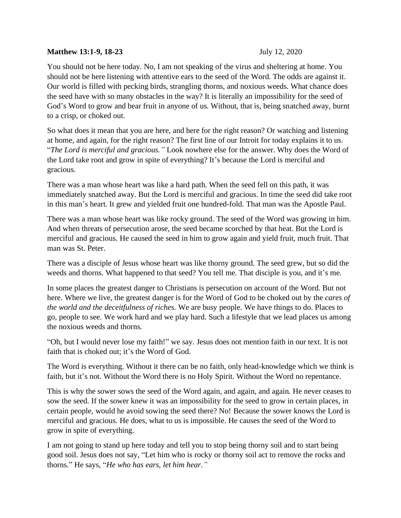## **Matthew 13:1-9, 18-23** July 12, 2020

You should not be here today. No, I am not speaking of the virus and sheltering at home. You should not be here listening with attentive ears to the seed of the Word. The odds are against it. Our world is filled with pecking birds, strangling thorns, and noxious weeds. What chance does the seed have with so many obstacles in the way? It is literally an impossibility for the seed of God's Word to grow and bear fruit in anyone of us. Without, that is, being snatched away, burnt to a crisp, or choked out.

So what does it mean that you are here, and here for the right reason? Or watching and listening at home, and again, for the right reason? The first line of our Introit for today explains it to us. "*The Lord is merciful and gracious."* Look nowhere else for the answer. Why does the Word of the Lord take root and grow in spite of everything? It's because the Lord is merciful and gracious.

There was a man whose heart was like a hard path. When the seed fell on this path, it was immediately snatched away. But the Lord is merciful and gracious. In time the seed did take root in this man's heart. It grew and yielded fruit one hundred-fold. That man was the Apostle Paul.

There was a man whose heart was like rocky ground. The seed of the Word was growing in him. And when threats of persecution arose, the seed became scorched by that heat. But the Lord is merciful and gracious. He caused the seed in him to grow again and yield fruit, much fruit. That man was St. Peter.

There was a disciple of Jesus whose heart was like thorny ground. The seed grew, but so did the weeds and thorns. What happened to that seed? You tell me. That disciple is you, and it's me.

In some places the greatest danger to Christians is persecution on account of the Word. But not here. Where we live, the greatest danger is for the Word of God to be choked out by the *cares of the world and the deceitfulness of riches.* We are busy people. We have things to do. Places to go, people to see. We work hard and we play hard. Such a lifestyle that we lead places us among the noxious weeds and thorns.

"Oh, but I would never lose my faith!" we say. Jesus does not mention faith in our text. It is not faith that is choked out; it's the Word of God.

The Word is everything. Without it there can be no faith, only head-knowledge which we think is faith, but it's not. Without the Word there is no Holy Spirit. Without the Word no repentance.

This is why the sower sows the seed of the Word again, and again, and again. He never ceases to sow the seed. If the sower knew it was an impossibility for the seed to grow in certain places, in certain people, would he avoid sowing the seed there? No! Because the sower knows the Lord is merciful and gracious. He does, what to us is impossible. He causes the seed of the Word to grow in spite of everything.

I am not going to stand up here today and tell you to stop being thorny soil and to start being good soil. Jesus does not say, "Let him who is rocky or thorny soil act to remove the rocks and thorns." He says, "*He who has ears, let him hear."*